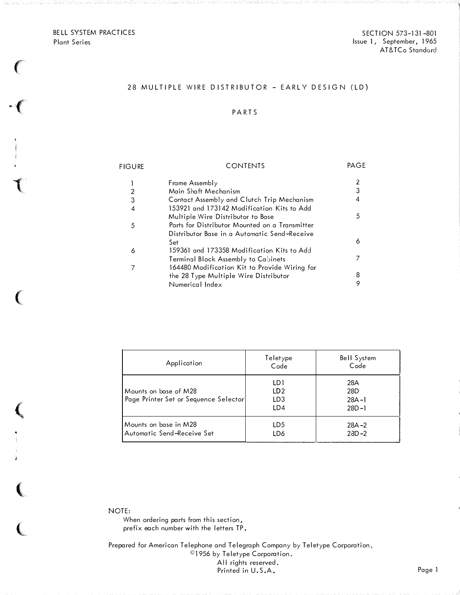BELL SYSTEM PRACTICES Plant Series

 $\cdot$  (

 $\left($ 

 $\big($ 

 $\left($ 

 $\left($ 

ÿ.

 $\overline{C}$ 

SECTION 573-131 -801 Issue <sup>l</sup>, September, 1965 AT&TCo Standard

## 28 MULTIPLE WIRE DISTRIBUTOR - EARLY DESIGN (LD)

## P ARTS

| <b>FIGURE</b> | <b>CONTENTS</b>                                | PAGE |
|---------------|------------------------------------------------|------|
|               | Frame Assembly                                 |      |
|               | Main Shaft Mechanism                           | 3    |
| 3             | Contact Assembly and Clutch Trip Mechanism     | 4    |
| 4             | 153921 and 173142 Modification Kits to Add     |      |
|               | Multiple Wire Distributor to Base              | 5    |
| 5             | Parts for Distributor Mounted on a Transmitter |      |
|               | Distributor Base in a Automatic Send-Receive   |      |
|               | Set                                            | 6    |
| 6             | 159361 and 173358 Modification Kits to Add     |      |
|               | Terminal Block Assembly to Cabinets            |      |
|               | 164480 Modification Kit to Provide Wiring for  |      |
|               | the 28 Type Multiple Wire Distributor          | 8    |
|               | Numerical Index                                | 9    |
|               |                                                |      |

| Application                                                    | Teletype<br>Code                                 | <b>Bell System</b><br>Code           |
|----------------------------------------------------------------|--------------------------------------------------|--------------------------------------|
| Mounts on base of M28<br>Page Printer Set or Sequence Selector | LD1<br>LD <sub>2</sub><br>LD <sub>3</sub><br>LD4 | 28A<br>28D<br>$28A - 1$<br>$28D - 1$ |
| l Mounts on base in M28<br>Automatic Send-Receive Set          | LD5<br>LD6                                       | $28A - 2$<br>$23D - 2$               |

NOTE:

When ordering parts from this section, prefix each number with the letters TP.

Prepared for American Telephone and Telegraph Company by Teletype Corporation, ©]956 by Teletype Corporation. All rights reserved. Printed in U.S.A.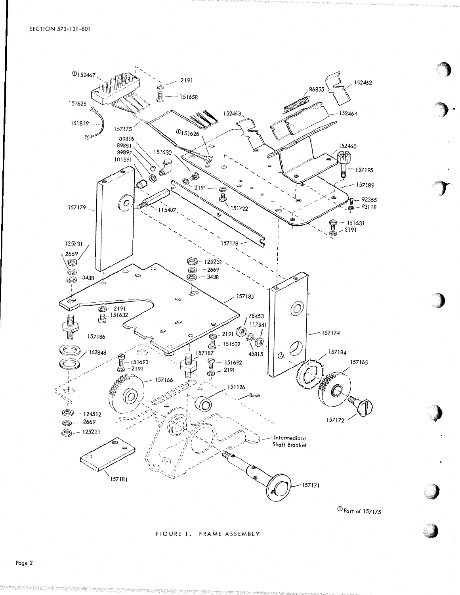

#### FIGURE 1. FRAME ASSEMBLY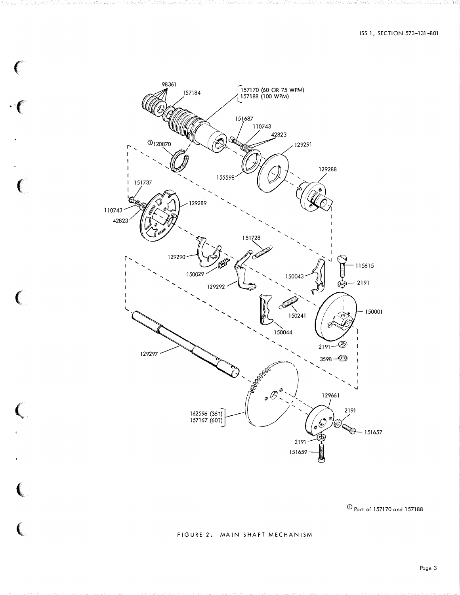

 $\big($ 

 $\mathbf{R}^{\mathbf{A}}$ 

 $\left($ 

 $\epsilon$ 

 $\overline{\mathbf{C}}$ 

 $\overline{C}$ 

 $\overline{\text{O}}$  Part of 157170 and 157188

## FIGURE 2. MAIN SHAFT MECHANISM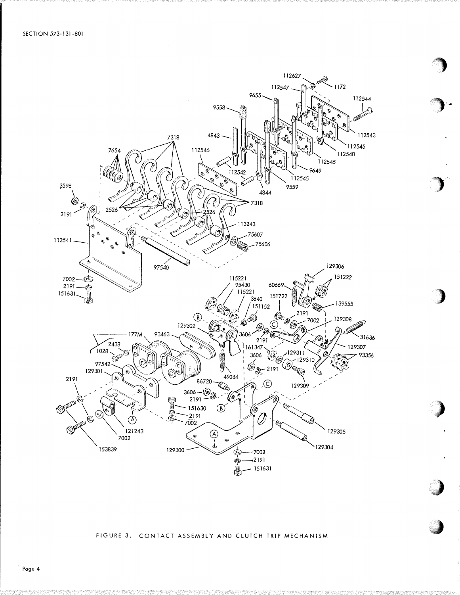

FIGURE 3. CONTACT ASSEMBLY AND CLUTCH TRIP MECHANISM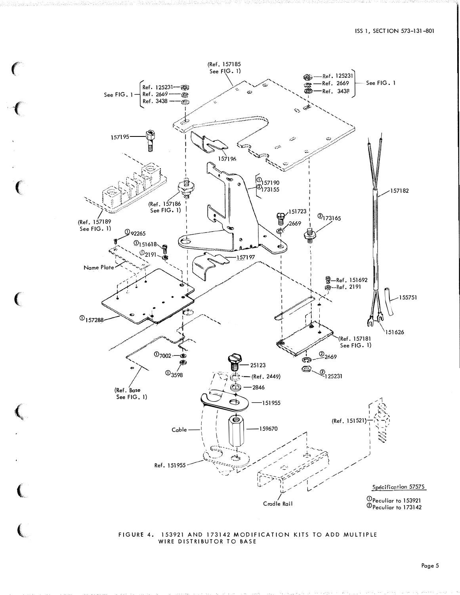

### FIGURE 4. 153921 AND 173142 MODIFICATION KITS TO ADD MULTIPLE WIRE DISTRIBUTOR TO BASE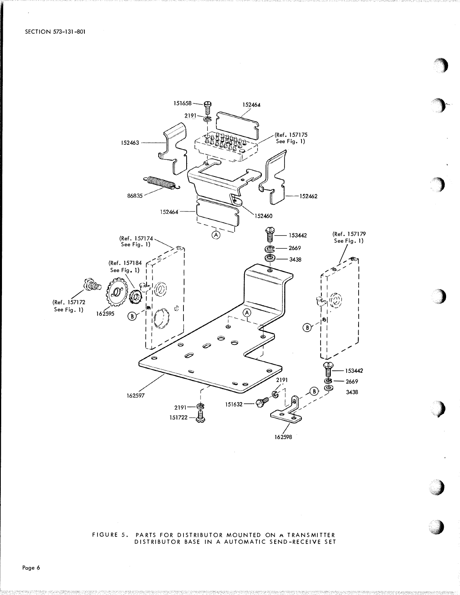

# FIGURE 5. PARTS FOR DISTRIBUTOR MOUNTED ON A TRANSMITTER<br>DISTRIBUTOR BASE IN A AUTOMATIC SEND-RECEIVE SET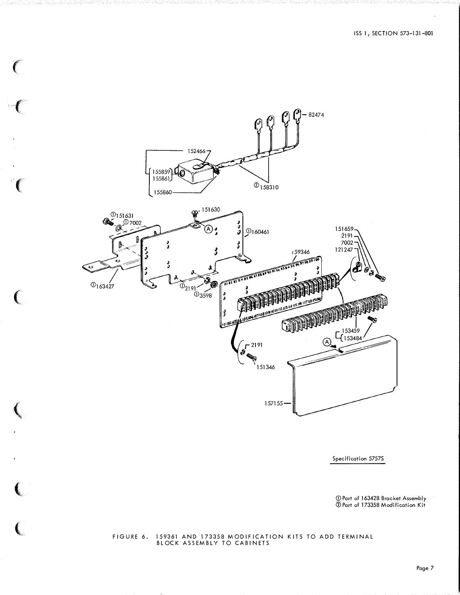

 $\big($ 

 $\left($ 

 $\mathbf{C}$ 

 $\mathbf{C}$ 

**人名** 

(

(

Specification 57575

(j)\_ Part of 163428 Bracket Assembly ®Part of 173358 Modification Kit

#### FIGURE 6. 159361 AND 173358 MODIFICATION KITS TO ADD TERMINAL BLOCK ASSEMBLY TO CABINETS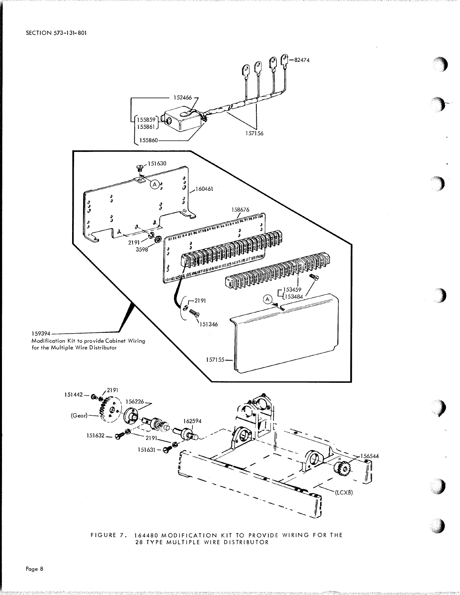



Page 8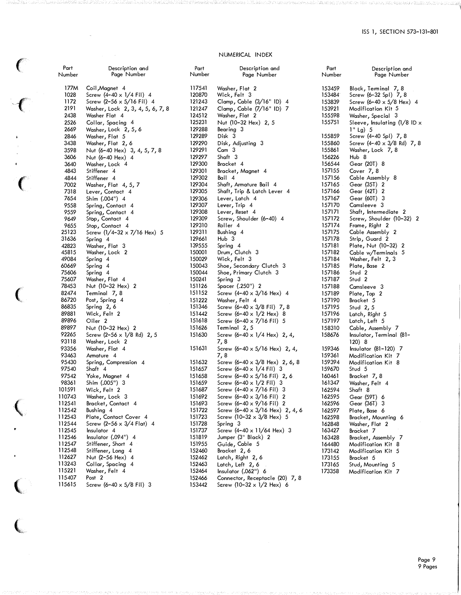## NUMERICAL INDEX

| Part<br>Number   | Description and<br>Page Number                                       |
|------------------|----------------------------------------------------------------------|
|                  |                                                                      |
| 177M             | Coil, Magnet 4                                                       |
| 1028             | Screw (4-40 x 1/4 Fil) 4                                             |
| 1172<br>2191     | Screw $(2-56 \times 5/16$ Fil) 4<br>Washer, Lock 2, 3, 4, 5, 6, 7, 8 |
| 2438             | Washer Flat 4                                                        |
| 2526             | Collar, Spacing 4                                                    |
| 2669             | Washer, Lock 2, 5, 6                                                 |
| 2846             | Washer, Flat 5                                                       |
| 3438             | Washer, Flat 2, 6                                                    |
| 3598             | Nut (6-40 Hex) 3, 4, 5, 7, 8                                         |
| 3606<br>3640     | Nut (6-40 Hex) 4<br>Washer, Lock 4                                   |
| 4843             | Stiffener 4                                                          |
| 4844             | Stiffener 4                                                          |
| 7002             | Washer, Flat 4, 5, 7                                                 |
| 7318             | Lever, Contact 4                                                     |
| 7654             | Shim (.004")<br>4                                                    |
| 9558<br>9559     | Spring, Contact 4<br>Spring, Contact 4                               |
| 9649             | Stop, Contact 4                                                      |
| 9655             | Stop, Contact 4                                                      |
| 25123            | Screw $(1/4-32 \times 7/16$ Hex) 5                                   |
| 31636            | Spring 4                                                             |
| 42823<br>45815   | Washer <b>,</b> Flat                                                 |
| 49084            | Washer, Lock 2<br>Spring 4                                           |
| 60669            | Spring 4                                                             |
| 75606            | Spring 4                                                             |
| 75607            | Washer, Flat 4                                                       |
| 78453            | Nut (10-32 Hex) 2                                                    |
| 82474<br>86720   | Terminal 7,8<br>Post, Spring 4                                       |
| 86835            | Spring 2,6                                                           |
| 89881            | Wick, Felt 2                                                         |
| 89896            | Oiler <sub>2</sub>                                                   |
| 89897            | Nut (10-32 Hex) 2                                                    |
| 92265            | Screw (2-56 x 1/8 Rd) 2, 5                                           |
| 93118<br>93356   | Washer, Lock 2<br>Washer, Flat 4                                     |
| 93463            | Armature 4                                                           |
| 95430            | Spring, Compression 4                                                |
| 97540            | Shaft 4                                                              |
| 97542            | Yoke, Magnet 4                                                       |
| 98361            | Shim (.005") 3                                                       |
| 101591<br>110743 | Wick, Felt 2<br>Washer, Lock 3                                       |
| 112541           | Bracket, Contact                                                     |
| 112542           | Bushing 4                                                            |
| 112543           | Plate, Contact Cover 4                                               |
| 112544           | Screw $(2-56 \times 3/4 \text{ Flat})$ 4                             |
| 112545<br>112546 | Insulator 4<br>Insulator (.094") 4                                   |
| 112547           | Stiffener, Short 4                                                   |
| 112548           | Stiffener, Long<br>4                                                 |
| 112627           | Nut (2-56 Hex) 4                                                     |
| 113243           | Collar, Spacing 4                                                    |
| 115221<br>115407 | Washer, Felt 4<br>Post 2                                             |
| 115615           | Screw (6-40 x 5/8 Fil) 3                                             |
|                  |                                                                      |

 $\epsilon$ 

 $\overline{\mathcal{C}}$ 

 $\overline{\mathcal{C}}$ 

 $\big($ 

(

 $\big($ 

 $\overline{\mathbb{C}}$ 

| rart<br>Number   | Description and<br>Page Number                               |
|------------------|--------------------------------------------------------------|
|                  |                                                              |
| 117541           | Washer, Flat 2                                               |
| 120870           | Wick, Felt 3                                                 |
| 121243           | Clamp, Cable (3/16" ID) 4                                    |
| 121247           | Clamp, Cable (7/16" ID) 7                                    |
| 124512           | Washer, Flat 2                                               |
| 125231           | Nut (10-32 Hex) 2, 5                                         |
| 129288           | Bearing<br>3                                                 |
| 129289           | Disk 3                                                       |
| 129290           | Disk, Adjusting 3                                            |
| 129291<br>129297 | 3<br>Cam<br>Shaft 3                                          |
| 129300           | Bracket 4                                                    |
| 129301           | Bracket, Magnet 4                                            |
| 129302           | Bail 4                                                       |
| 129304           | Shaft, Armature Bail 4                                       |
| 129305           | Shaft, Trip & Latch Lever 4                                  |
| 129306           | Lever, Latch <sub>4</sub>                                    |
| 129307           | Lever, Trip 4                                                |
| 129308           | Lever, Reset 4                                               |
| 129309           | Screw, Shoulder (6-40) 4                                     |
| 129310           | Roller 4                                                     |
| 129311           | Bushing 4                                                    |
| 129661           | Hub 3                                                        |
| 139555           | Spring 4                                                     |
| 150001           | Drum, Clutch 3<br>Wick, Felt 3                               |
| 150029           |                                                              |
| 150043           | Shoe, Secondary Clutch 3                                     |
| 150044<br>150241 | Shoe, Primary Clutch 3<br>Spring 3                           |
| 151126           | Spacer (.250") 2                                             |
| 151152           | Screw (4-40 x 3/16 Hex) 4                                    |
| 151222           | Washer, Felt 4                                               |
| 151346           | Screw (6-40 x 3/8 Fil) 7, 8                                  |
| 151442           | Screw (6-40 $\times$ 1/2 Hex) 8                              |
| 151618           | Screw (6-40 x 7/16 Fil) 5                                    |
| 151626           | Terminal 2,5                                                 |
| 151630           | Screw (6-40 x 1/4 Hex) 2, 4,                                 |
|                  | 7,8                                                          |
| 151631           | Screw (6-40 x 5/16 Hex) 2, 4,                                |
|                  | 7,8                                                          |
| 151632           | Screw (6-40 x 3/8 Hex) 2, 6, 8                               |
| 151657           | Screw (6-40 x 1/4 Fil)<br>з                                  |
| 151658           | Screw (6–40 x 5/16 Fil)<br>2, 6                              |
| 151659           | Screw (6-40 x 1/2 Fil)<br>3                                  |
| 151687           | Screw $(4-40 \times 7/16 \text{ Fil})$<br>3<br>2             |
| 151692<br>151693 | Screw $(6 - 40 \times 3/16 \text{ Fil})$<br>2                |
| 151722           | Screw (6–40 x 9/16 Fil)<br>Screw (6-40 x 3/16 Hex) 2, 4, 6   |
| 151723           | Screw (10-32 x 3/8 Hex)<br>5                                 |
| 151728           | Spring 3                                                     |
| 151737           | Screw (4-40 x 11/64 Hex) 3                                   |
| 151819           | Jumper (3" Black) 2                                          |
| 151955           | Guide, Cable 5                                               |
| 152460           | Bracket 2,6                                                  |
| 152462           | Latch, Right 2, 6                                            |
| 152463           | Latch, Left 2, 6                                             |
| 152464           | Insulator (.062'')<br>6                                      |
| 152466           | Connector, Receptacle (20) 7, 8<br>Srrew (10–32 x 1/2 Hex) 6 |
| 153442           |                                                              |

| Part<br>Number   | Description and<br>Page Number                      |
|------------------|-----------------------------------------------------|
| 153459           |                                                     |
| 153484           | Block, Terminal 7, 8<br>Screw (6–32 Spl) 7, 8       |
| 153839           | Screw (6-40 x 5/8 Hex) 4                            |
| 153921           | Modification Kit 5                                  |
| 155598           |                                                     |
| 155751           | Washer, Special   3<br>Sleeve, Insulating (1/8 ID x |
|                  | $1"$ Lg) 5                                          |
| 155859           | Screw (4-40 Spl) 7, 8                               |
| 155860           | Screw (4-40 x 3/8 Rd) 7, 8                          |
| 155861           | Washer, Lock 7, 8                                   |
| 156226           | Hub 8                                               |
| 156544           | Gear (20T) 8                                        |
| 157155           | Cover 7, 8                                          |
| 157156           | Cable Assembly 8                                    |
| 157165           | Gear (35T) 2                                        |
| 157166           | Gear (42T) 2                                        |
| 157167           | Gear (60T)<br>3                                     |
| 157170           | Camsleeve 3                                         |
| 157171           | Shaft, Intermediate 2                               |
| 157172           | Screw, Shoulder (10-32) 2                           |
|                  |                                                     |
| 157174           | Frame, Right 2                                      |
| 157175<br>157178 | Cable Assembly 2                                    |
|                  | Strip, Guard 2                                      |
| 157181           | Plate, Nut (10–32)<br>5                             |
| 157182           | Cable w/Terminals                                   |
| 157184           | Washer, Felt 2, 3                                   |
| 157185           | Plate, Base 2                                       |
| 157186           | Stud 2                                              |
| 157187           | Stud 2                                              |
| 157188           | Camsleeve 3                                         |
| 157189           | Plate, Top<br>2                                     |
| 157190           | Bracket 5                                           |
| 157195           | Stud 2,5                                            |
| 157196           | Latch, Right 5                                      |
| 157197           | Latch, Left 5                                       |
| 158310           | Cable, Assembly 7                                   |
| 158676           | Insulator, Terminal (81-<br>120) 8                  |
| 159346           | <b>Insulator (81-120) 7</b>                         |
| 159361           | Modification Kit<br>7                               |
| 159394           | Modification Kit<br>-8                              |
| 159670           | Stud 5                                              |
| 160461           |                                                     |
| 161347           | Bracket 7,8<br>Washer, Felt 4                       |
| 162594           | Shaft 8                                             |
| 162595           | Gear (59T) 6                                        |
| 162596           |                                                     |
|                  | Gear (36T) 3                                        |
| 162597           | Plate, Base 6                                       |
| 162598           | Bracket, Mounting 6                                 |
| 162848           | Washer, Flat 2                                      |
| 163427           | Bracket 7                                           |
| 163428           | 7<br>Bracket, Assembly                              |
| 164480           | Modification Kit<br>8                               |
| 173142           | Modification Kit<br>5                               |
| 173155           | Bracket 5                                           |
| 173165           | Stud, Mounting 5                                    |
| 173358           | 7<br>Modification Kit                               |